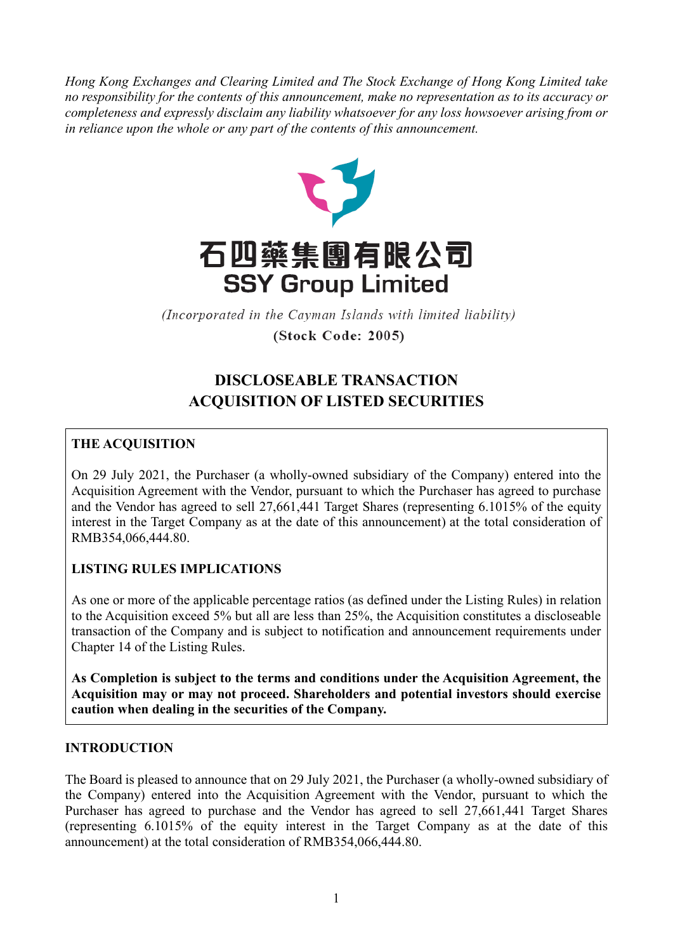*Hong Kong Exchanges and Clearing Limited and The Stock Exchange of Hong Kong Limited take no responsibility for the contents of this announcement, make no representation as to its accuracy or completeness and expressly disclaim any liability whatsoever for any loss howsoever arising from or in reliance upon the whole or any part of the contents of this announcement.*



(Incorporated in the Cayman Islands with limited liability)

(Stock Code: 2005)

# **DISCLOSEABLE TRANSACTION ACQUISITION OF LISTED SECURITIES**

# **THE ACQUISITION**

On 29 July 2021, the Purchaser (a wholly-owned subsidiary of the Company) entered into the Acquisition Agreement with the Vendor, pursuant to which the Purchaser has agreed to purchase and the Vendor has agreed to sell 27,661,441 Target Shares (representing 6.1015% of the equity interest in the Target Company as at the date of this announcement) at the total consideration of RMB354,066,444.80.

## **LISTING RULES IMPLICATIONS**

As one or more of the applicable percentage ratios (as defined under the Listing Rules) in relation to the Acquisition exceed 5% but all are less than 25%, the Acquisition constitutes a discloseable transaction of the Company and is subject to notification and announcement requirements under Chapter 14 of the Listing Rules.

**As Completion is subject to the terms and conditions under the Acquisition Agreement, the Acquisition may or may not proceed. Shareholders and potential investors should exercise caution when dealing in the securities of the Company.**

### **INTRODUCTION**

The Board is pleased to announce that on 29 July 2021, the Purchaser (a wholly-owned subsidiary of the Company) entered into the Acquisition Agreement with the Vendor, pursuant to which the Purchaser has agreed to purchase and the Vendor has agreed to sell 27,661,441 Target Shares (representing 6.1015% of the equity interest in the Target Company as at the date of this announcement) at the total consideration of RMB354,066,444.80.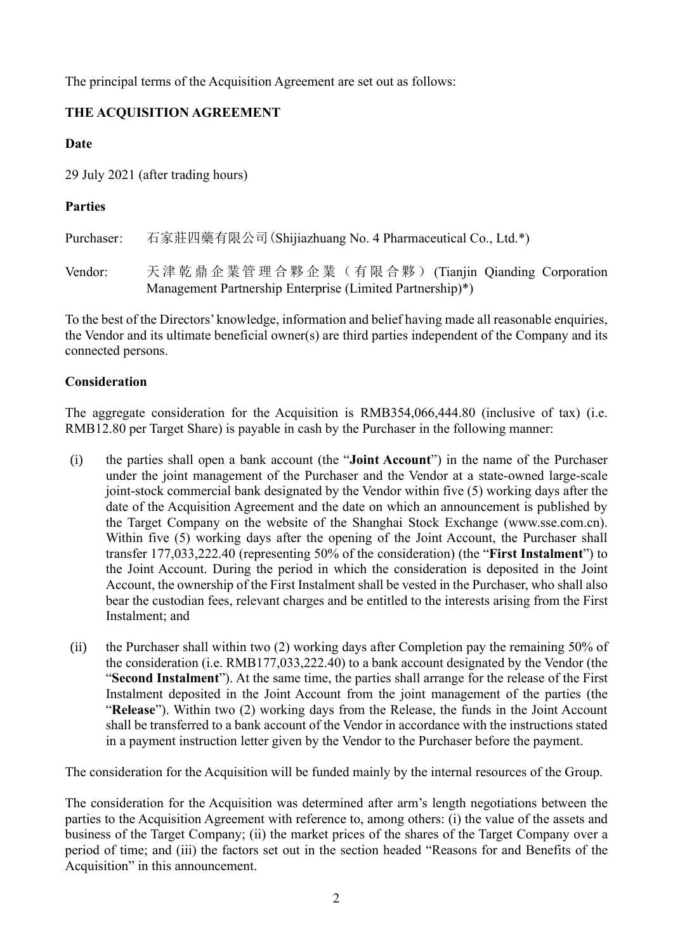The principal terms of the Acquisition Agreement are set out as follows:

# **THE ACQUISITION AGREEMENT**

### **Date**

29 July 2021 (after trading hours)

# **Parties**

Purchaser: 石家莊四藥有限公司(Shijiazhuang No. 4 Pharmaceutical Co., Ltd.\*)

Vendor: 天 津 乾 鼎 企 業 管 理 合 夥 企 業 ( 有 限 合 夥 ) (Tianjin Qianding Corporation Management Partnership Enterprise (Limited Partnership)\*)

To the best of the Directors' knowledge, information and belief having made all reasonable enquiries, the Vendor and its ultimate beneficial owner(s) are third parties independent of the Company and its connected persons.

## **Consideration**

The aggregate consideration for the Acquisition is RMB354,066,444.80 (inclusive of tax) (i.e. RMB12.80 per Target Share) is payable in cash by the Purchaser in the following manner:

- (i) the parties shall open a bank account (the "**Joint Account**") in the name of the Purchaser under the joint management of the Purchaser and the Vendor at a state-owned large-scale joint-stock commercial bank designated by the Vendor within five (5) working days after the date of the Acquisition Agreement and the date on which an announcement is published by the Target Company on the website of the Shanghai Stock Exchange (www.sse.com.cn). Within five (5) working days after the opening of the Joint Account, the Purchaser shall transfer 177,033,222.40 (representing 50% of the consideration) (the "**First Instalment**") to the Joint Account. During the period in which the consideration is deposited in the Joint Account, the ownership of the First Instalment shall be vested in the Purchaser, who shall also bear the custodian fees, relevant charges and be entitled to the interests arising from the First Instalment; and
- (ii) the Purchaser shall within two (2) working days after Completion pay the remaining 50% of the consideration (i.e. RMB177,033,222.40) to a bank account designated by the Vendor (the "**Second Instalment**"). At the same time, the parties shall arrange for the release of the First Instalment deposited in the Joint Account from the joint management of the parties (the "**Release**"). Within two (2) working days from the Release, the funds in the Joint Account shall be transferred to a bank account of the Vendor in accordance with the instructions stated in a payment instruction letter given by the Vendor to the Purchaser before the payment.

The consideration for the Acquisition will be funded mainly by the internal resources of the Group.

The consideration for the Acquisition was determined after arm's length negotiations between the parties to the Acquisition Agreement with reference to, among others: (i) the value of the assets and business of the Target Company; (ii) the market prices of the shares of the Target Company over a period of time; and (iii) the factors set out in the section headed "Reasons for and Benefits of the Acquisition" in this announcement.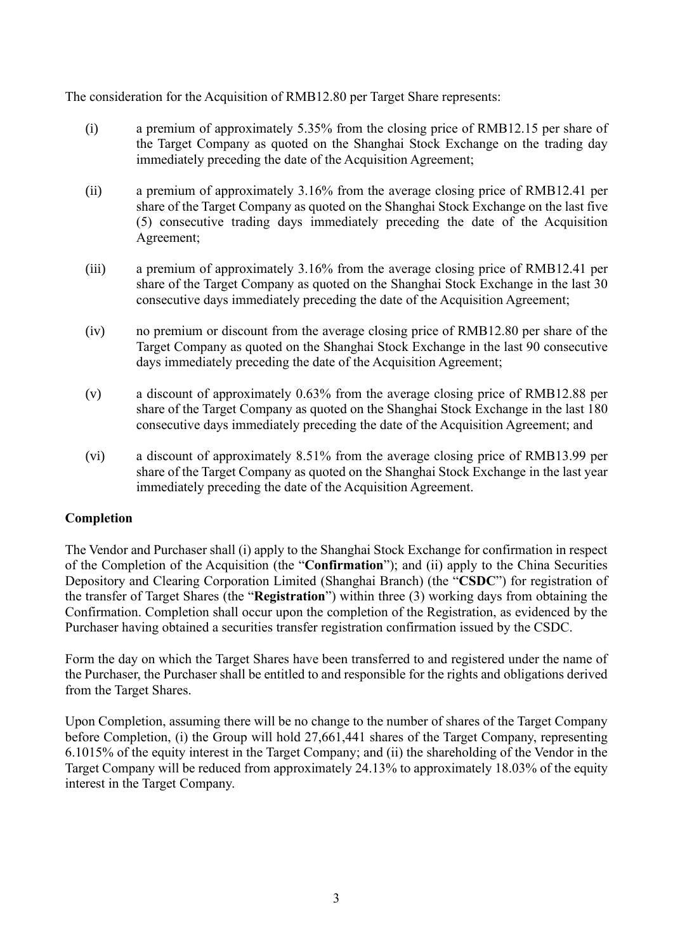The consideration for the Acquisition of RMB12.80 per Target Share represents:

- (i) a premium of approximately 5.35% from the closing price of RMB12.15 per share of the Target Company as quoted on the Shanghai Stock Exchange on the trading day immediately preceding the date of the Acquisition Agreement;
- (ii) a premium of approximately 3.16% from the average closing price of RMB12.41 per share of the Target Company as quoted on the Shanghai Stock Exchange on the last five (5) consecutive trading days immediately preceding the date of the Acquisition Agreement;
- (iii) a premium of approximately 3.16% from the average closing price of RMB12.41 per share of the Target Company as quoted on the Shanghai Stock Exchange in the last 30 consecutive days immediately preceding the date of the Acquisition Agreement;
- (iv) no premium or discount from the average closing price of RMB12.80 per share of the Target Company as quoted on the Shanghai Stock Exchange in the last 90 consecutive days immediately preceding the date of the Acquisition Agreement;
- (v) a discount of approximately 0.63% from the average closing price of RMB12.88 per share of the Target Company as quoted on the Shanghai Stock Exchange in the last 180 consecutive days immediately preceding the date of the Acquisition Agreement; and
- (vi) a discount of approximately 8.51% from the average closing price of RMB13.99 per share of the Target Company as quoted on the Shanghai Stock Exchange in the last year immediately preceding the date of the Acquisition Agreement.

### **Completion**

The Vendor and Purchaser shall (i) apply to the Shanghai Stock Exchange for confirmation in respect of the Completion of the Acquisition (the "**Confirmation**"); and (ii) apply to the China Securities Depository and Clearing Corporation Limited (Shanghai Branch) (the "**CSDC**") for registration of the transfer of Target Shares (the "**Registration**") within three (3) working days from obtaining the Confirmation. Completion shall occur upon the completion of the Registration, as evidenced by the Purchaser having obtained a securities transfer registration confirmation issued by the CSDC.

Form the day on which the Target Shares have been transferred to and registered under the name of the Purchaser, the Purchaser shall be entitled to and responsible for the rights and obligations derived from the Target Shares.

Upon Completion, assuming there will be no change to the number of shares of the Target Company before Completion, (i) the Group will hold 27,661,441 shares of the Target Company, representing 6.1015% of the equity interest in the Target Company; and (ii) the shareholding of the Vendor in the Target Company will be reduced from approximately 24.13% to approximately 18.03% of the equity interest in the Target Company.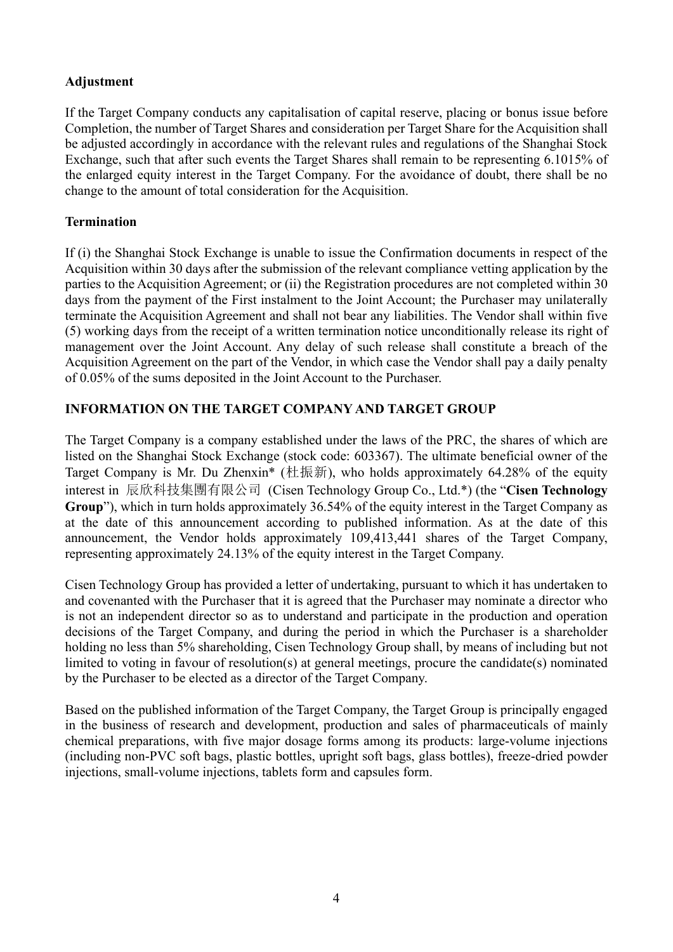### **Adjustment**

If the Target Company conducts any capitalisation of capital reserve, placing or bonus issue before Completion, the number of Target Shares and consideration per Target Share for the Acquisition shall be adjusted accordingly in accordance with the relevant rules and regulations of the Shanghai Stock Exchange, such that after such events the Target Shares shall remain to be representing 6.1015% of the enlarged equity interest in the Target Company. For the avoidance of doubt, there shall be no change to the amount of total consideration for the Acquisition.

### **Termination**

If (i) the Shanghai Stock Exchange is unable to issue the Confirmation documents in respect of the Acquisition within 30 days after the submission of the relevant compliance vetting application by the parties to the Acquisition Agreement; or (ii) the Registration procedures are not completed within 30 days from the payment of the First instalment to the Joint Account; the Purchaser may unilaterally terminate the Acquisition Agreement and shall not bear any liabilities. The Vendor shall within five (5) working days from the receipt of a written termination notice unconditionally release its right of management over the Joint Account. Any delay of such release shall constitute a breach of the Acquisition Agreement on the part of the Vendor, in which case the Vendor shall pay a daily penalty of 0.05% of the sums deposited in the Joint Account to the Purchaser.

## **INFORMATION ON THE TARGET COMPANY AND TARGET GROUP**

The Target Company is a company established under the laws of the PRC, the shares of which are listed on the Shanghai Stock Exchange (stock code: 603367). The ultimate beneficial owner of the Target Company is Mr. Du Zhenxin<sup>\*</sup> (杜振新), who holds approximately 64.28% of the equity interest in 辰欣科技集團有限公司 (Cisen Technology Group Co., Ltd.\*) (the "**Cisen Technology Group**"), which in turn holds approximately 36.54% of the equity interest in the Target Company as at the date of this announcement according to published information. As at the date of this announcement, the Vendor holds approximately 109,413,441 shares of the Target Company, representing approximately 24.13% of the equity interest in the Target Company.

Cisen Technology Group has provided a letter of undertaking, pursuant to which it has undertaken to and covenanted with the Purchaser that it is agreed that the Purchaser may nominate a director who is not an independent director so as to understand and participate in the production and operation decisions of the Target Company, and during the period in which the Purchaser is a shareholder holding no less than 5% shareholding, Cisen Technology Group shall, by means of including but not limited to voting in favour of resolution(s) at general meetings, procure the candidate(s) nominated by the Purchaser to be elected as a director of the Target Company.

Based on the published information of the Target Company, the Target Group is principally engaged in the business of research and development, production and sales of pharmaceuticals of mainly chemical preparations, with five major dosage forms among its products: large-volume injections (including non-PVC soft bags, plastic bottles, upright soft bags, glass bottles), freeze-dried powder injections, small-volume injections, tablets form and capsules form.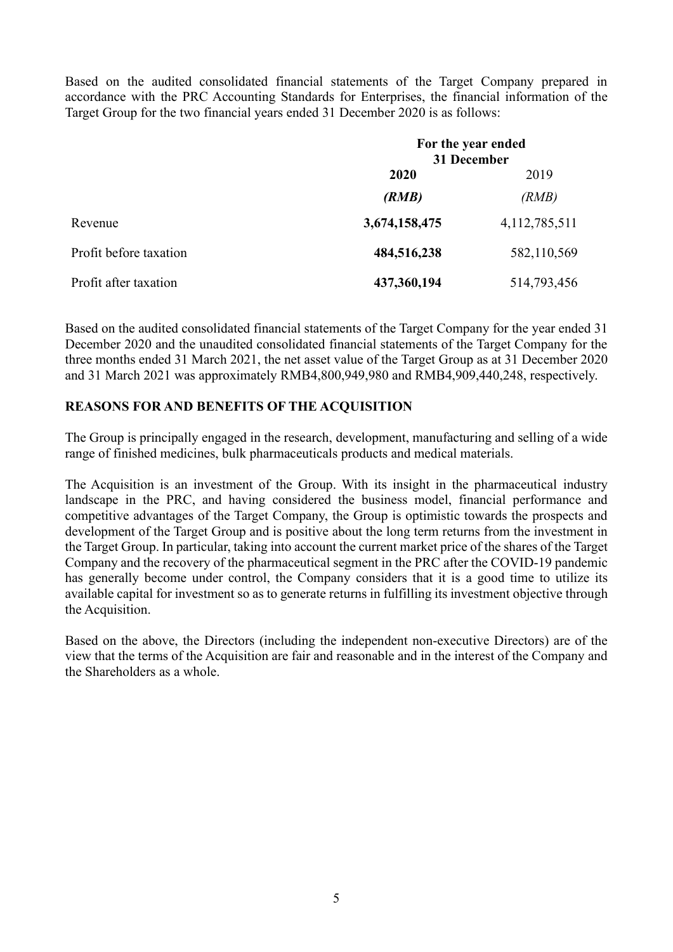Based on the audited consolidated financial statements of the Target Company prepared in accordance with the PRC Accounting Standards for Enterprises, the financial information of the Target Group for the two financial years ended 31 December 2020 is as follows:

|                        | For the year ended<br>31 December |                  |
|------------------------|-----------------------------------|------------------|
|                        | 2020                              | 2019             |
|                        | (RMB)                             | (RMB)            |
| Revenue                | 3,674,158,475                     | 4, 112, 785, 511 |
| Profit before taxation | 484,516,238                       | 582,110,569      |
| Profit after taxation  | 437,360,194                       | 514,793,456      |

Based on the audited consolidated financial statements of the Target Company for the year ended 31 December 2020 and the unaudited consolidated financial statements of the Target Company for the three months ended 31 March 2021, the net asset value of the Target Group as at 31 December 2020 and 31 March 2021 was approximately RMB4,800,949,980 and RMB4,909,440,248, respectively.

### **REASONS FOR AND BENEFITS OF THE ACQUISITION**

The Group is principally engaged in the research, development, manufacturing and selling of a wide range of finished medicines, bulk pharmaceuticals products and medical materials.

The Acquisition is an investment of the Group. With its insight in the pharmaceutical industry landscape in the PRC, and having considered the business model, financial performance and competitive advantages of the Target Company, the Group is optimistic towards the prospects and development of the Target Group and is positive about the long term returns from the investment in the Target Group. In particular, taking into account the current market price of the shares of the Target Company and the recovery of the pharmaceutical segment in the PRC after the COVID-19 pandemic has generally become under control, the Company considers that it is a good time to utilize its available capital for investment so as to generate returns in fulfilling its investment objective through the Acquisition.

Based on the above, the Directors (including the independent non-executive Directors) are of the view that the terms of the Acquisition are fair and reasonable and in the interest of the Company and the Shareholders as a whole.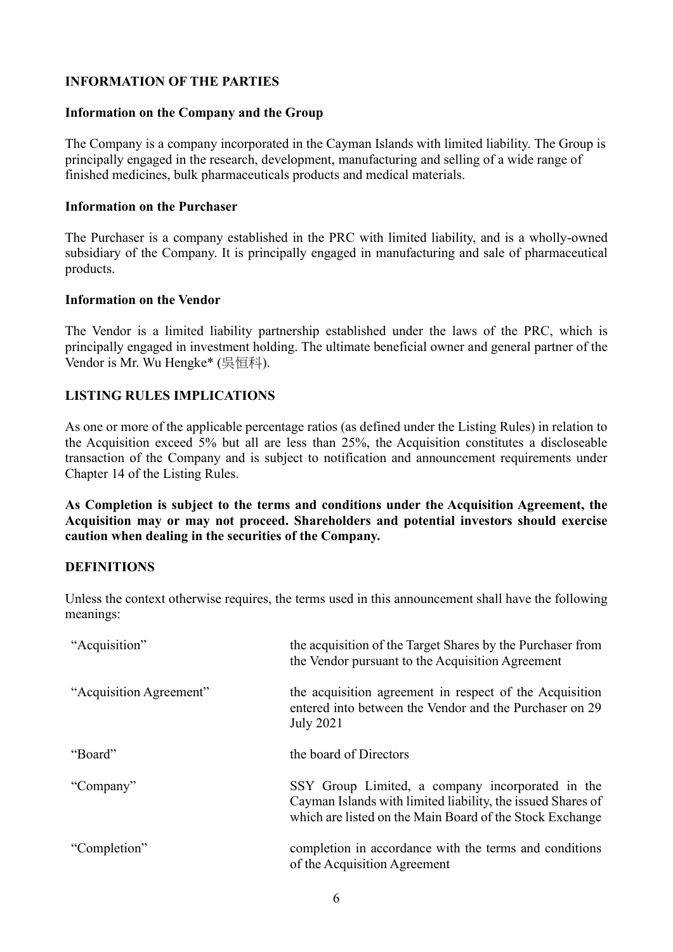### **INFORMATION OF THE PARTIES**

#### **Information on the Company and the Group**

The Company is a company incorporated in the Cayman Islands with limited liability. The Group is principally engaged in the research, development, manufacturing and selling of a wide range of finished medicines, bulk pharmaceuticals products and medical materials.

#### **Information on the Purchaser**

The Purchaser is a company established in the PRC with limited liability, and is a wholly-owned subsidiary of the Company. It is principally engaged in manufacturing and sale of pharmaceutical products.

#### **Information on the Vendor**

The Vendor is a limited liability partnership established under the laws of the PRC, which is principally engaged in investment holding. The ultimate beneficial owner and general partner of the Vendor is Mr. Wu Hengke\* (吳恒科).

#### **LISTING RULES IMPLICATIONS**

As one or more of the applicable percentage ratios (as defined under the Listing Rules) in relation to the Acquisition exceed 5% but all are less than 25%, the Acquisition constitutes a discloseable transaction of the Company and is subject to notification and announcement requirements under Chapter 14 of the Listing Rules.

**As Completion is subject to the terms and conditions under the Acquisition Agreement, the Acquisition may or may not proceed. Shareholders and potential investors should exercise caution when dealing in the securities of the Company.**

#### **DEFINITIONS**

Unless the context otherwise requires, the terms used in this announcement shall have the following meanings:

| "Acquisition"           | the acquisition of the Target Shares by the Purchaser from<br>the Vendor pursuant to the Acquisition Agreement                                                              |
|-------------------------|-----------------------------------------------------------------------------------------------------------------------------------------------------------------------------|
| "Acquisition Agreement" | the acquisition agreement in respect of the Acquisition<br>entered into between the Vendor and the Purchaser on 29<br><b>July 2021</b>                                      |
| "Board"                 | the board of Directors                                                                                                                                                      |
| "Company"               | SSY Group Limited, a company incorporated in the<br>Cayman Islands with limited liability, the issued Shares of<br>which are listed on the Main Board of the Stock Exchange |
| "Completion"            | completion in accordance with the terms and conditions<br>of the Acquisition Agreement                                                                                      |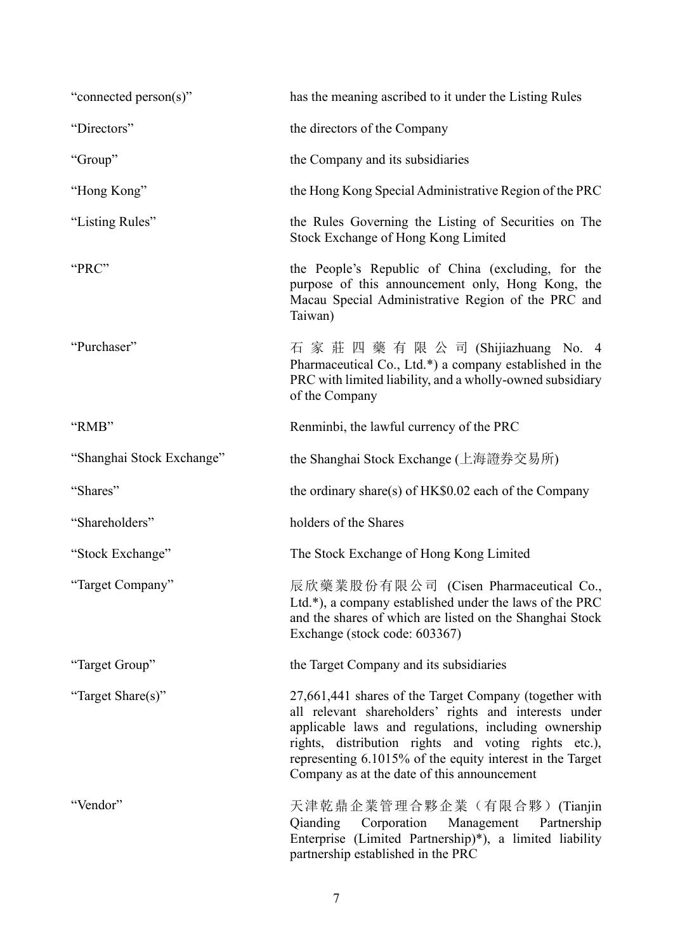| "connected person(s)"     | has the meaning ascribed to it under the Listing Rules                                                                                                                                                                                                                                                                                      |
|---------------------------|---------------------------------------------------------------------------------------------------------------------------------------------------------------------------------------------------------------------------------------------------------------------------------------------------------------------------------------------|
| "Directors"               | the directors of the Company                                                                                                                                                                                                                                                                                                                |
| "Group"                   | the Company and its subsidiaries                                                                                                                                                                                                                                                                                                            |
| "Hong Kong"               | the Hong Kong Special Administrative Region of the PRC                                                                                                                                                                                                                                                                                      |
| "Listing Rules"           | the Rules Governing the Listing of Securities on The<br>Stock Exchange of Hong Kong Limited                                                                                                                                                                                                                                                 |
| "PRC"                     | the People's Republic of China (excluding, for the<br>purpose of this announcement only, Hong Kong, the<br>Macau Special Administrative Region of the PRC and<br>Taiwan)                                                                                                                                                                    |
| "Purchaser"               | 石 家 莊 四 藥 有 限 公 司 (Shijiazhuang No. 4<br>Pharmaceutical Co., Ltd.*) a company established in the<br>PRC with limited liability, and a wholly-owned subsidiary<br>of the Company                                                                                                                                                             |
| "RMB"                     | Renminbi, the lawful currency of the PRC                                                                                                                                                                                                                                                                                                    |
| "Shanghai Stock Exchange" | the Shanghai Stock Exchange (上海證券交易所)                                                                                                                                                                                                                                                                                                       |
| "Shares"                  | the ordinary share(s) of HK\$0.02 each of the Company                                                                                                                                                                                                                                                                                       |
| "Shareholders"            | holders of the Shares                                                                                                                                                                                                                                                                                                                       |
| "Stock Exchange"          | The Stock Exchange of Hong Kong Limited                                                                                                                                                                                                                                                                                                     |
| "Target Company"          | 辰欣藥業股份有限公司 (Cisen Pharmaceutical Co.,<br>Ltd.*), a company established under the laws of the PRC<br>and the shares of which are listed on the Shanghai Stock<br>Exchange (stock code: 603367)                                                                                                                                               |
| "Target Group"            | the Target Company and its subsidiaries                                                                                                                                                                                                                                                                                                     |
| "Target Share(s)"         | 27,661,441 shares of the Target Company (together with<br>all relevant shareholders' rights and interests under<br>applicable laws and regulations, including ownership<br>rights, distribution rights and voting rights etc.),<br>representing 6.1015% of the equity interest in the Target<br>Company as at the date of this announcement |
| "Vendor"                  | 天津乾鼎企業管理合夥企業(有限合夥)(Tianjin<br>Qianding Corporation<br>Management<br>Partnership<br>Enterprise (Limited Partnership)*), a limited liability<br>partnership established in the PRC                                                                                                                                                            |